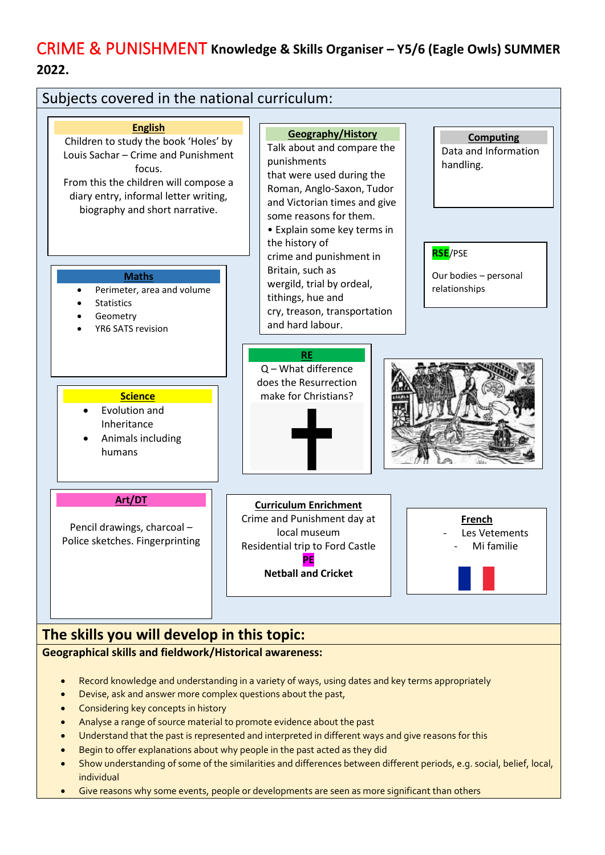# CRIME & PUNISHMENT **Knowledge & Skills Organiser – Y5/6 (Eagle Owls) SUMMER 2022.**



### **Geographical skills and fieldwork/Historical awareness:**

- Record knowledge and understanding in a variety of ways, using dates and key terms appropriately
- Devise, ask and answer more complex questions about the past,
- Considering key concepts in history
- Analyse a range of source material to promote evidence about the past
- Understand that the past is represented and interpreted in different ways and give reasons for this
- Begin to offer explanations about why people in the past acted as they did
- Show understanding of some of the similarities and differences between different periods, e.g. social, belief, local, individual
- Give reasons why some events, people or developments are seen as more significant than others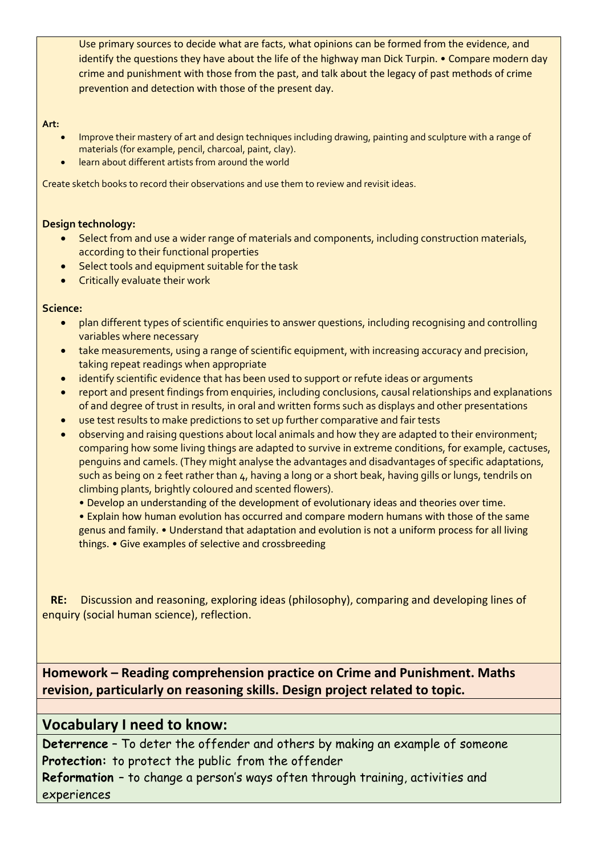Use primary sources to decide what are facts, what opinions can be formed from the evidence, and identify the questions they have about the life of the highway man Dick Turpin. • Compare modern day crime and punishment with those from the past, and talk about the legacy of past methods of crime prevention and detection with those of the present day.

**Art:** 

- Improve their mastery of art and design techniques including drawing, painting and sculpture with a range of materials (for example, pencil, charcoal, paint, clay).
- learn about different artists from around the world

Create sketch books to record their observations and use them to review and revisit ideas.

#### **Design technology:**

- Select from and use a wider range of materials and components, including construction materials, according to their functional properties
- Select tools and equipment suitable for the task
- Critically evaluate their work

#### **Science:**

- plan different types of scientific enquiries to answer questions, including recognising and controlling variables where necessary
- take measurements, using a range of scientific equipment, with increasing accuracy and precision, taking repeat readings when appropriate
- identify scientific evidence that has been used to support or refute ideas or arguments
- report and present findings from enquiries, including conclusions, causal relationships and explanations of and degree of trust in results, in oral and written forms such as displays and other presentations
- use test results to make predictions to set up further comparative and fair tests
- observing and raising questions about local animals and how they are adapted to their environment; comparing how some living things are adapted to survive in extreme conditions, for example, cactuses, penguins and camels. (They might analyse the advantages and disadvantages of specific adaptations, such as being on 2 feet rather than 4, having a long or a short beak, having gills or lungs, tendrils on climbing plants, brightly coloured and scented flowers).
	- Develop an understanding of the development of evolutionary ideas and theories over time.
	- Explain how human evolution has occurred and compare modern humans with those of the same genus and family. • Understand that adaptation and evolution is not a uniform process for all living things. • Give examples of selective and crossbreeding

 **RE:** Discussion and reasoning, exploring ideas (philosophy), comparing and developing lines of enquiry (social human science), reflection.

**Homework – Reading comprehension practice on Crime and Punishment. Maths revision, particularly on reasoning skills. Design project related to topic.**

## **Vocabulary I need to know:**

**Deterrence** – To deter the offender and others by making an example of someone **Protection:** to protect the public from the offender

**Reformation** – to change a person's ways often through training, activities and experiences